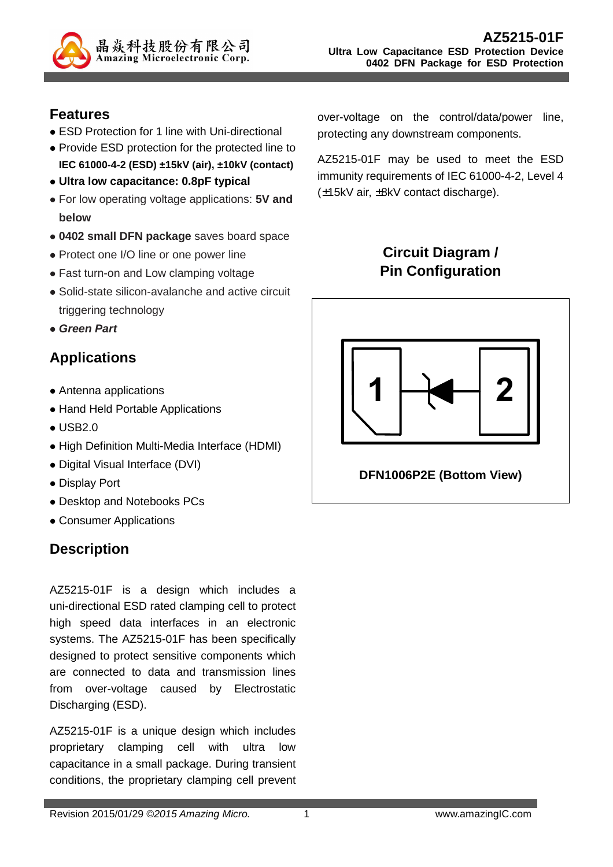

#### **Features**

- ESD Protection for 1 line with Uni-directional
- Provide ESD protection for the protected line to **IEC 61000-4-2 (ESD) ±15kV (air), ±10kV (contact)**
- **Ultra low capacitance: 0.8pF typical**
- For low operating voltage applications: **5V and below**
- **0402 small DFN package** saves board space
- Protect one I/O line or one power line
- Fast turn-on and Low clamping voltage
- Solid-state silicon-avalanche and active circuit triggering technology
- **Green Part**

## **Applications**

- Antenna applications
- Hand Held Portable Applications
- **USB2.0**
- High Definition Multi-Media Interface (HDMI)
- Digital Visual Interface (DVI)
- Display Port
- Desktop and Notebooks PCs
- Consumer Applications

## **Description**

AZ5215-01F is a design which includes a uni-directional ESD rated clamping cell to protect high speed data interfaces in an electronic systems. The AZ5215-01F has been specifically designed to protect sensitive components which are connected to data and transmission lines from over-voltage caused by Electrostatic Discharging (ESD).

AZ5215-01F is a unique design which includes proprietary clamping cell with ultra low capacitance in a small package. During transient conditions, the proprietary clamping cell prevent over-voltage on the control/data/power line, protecting any downstream components.

AZ5215-01F may be used to meet the ESD immunity requirements of IEC 61000-4-2, Level 4 (±15kV air, ±8kV contact discharge).

# **Circuit Diagram / Pin Configuration**

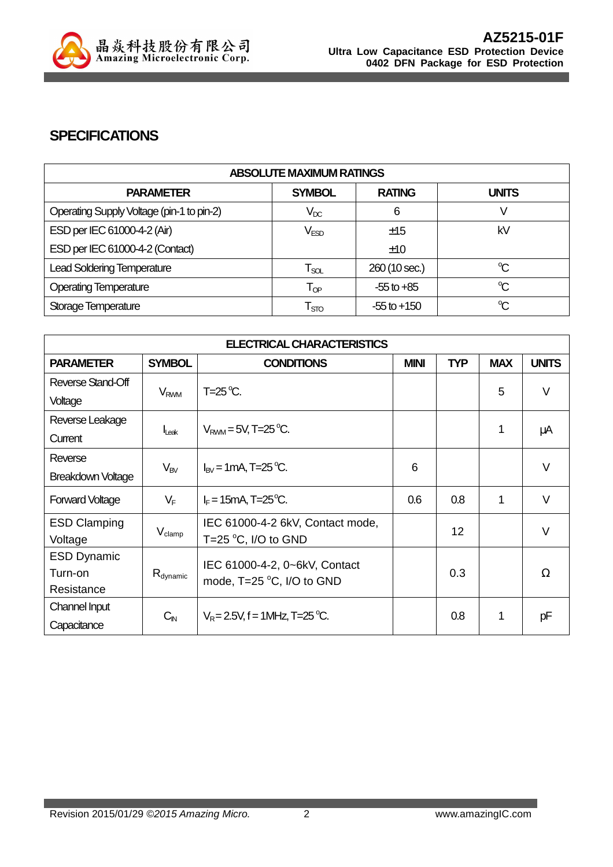

## **SPECIFICATIONS**

| <b>ABSOLUTE MAXIMUM RATINGS</b>           |                             |                 |              |  |
|-------------------------------------------|-----------------------------|-----------------|--------------|--|
| <b>PARAMETER</b>                          | <b>SYMBOL</b>               | <b>RATING</b>   | <b>UNITS</b> |  |
| Operating Supply Voltage (pin-1 to pin-2) | $\mathsf{V}_{\mathsf{DC}}$  | 6               |              |  |
| ESD per IEC 61000-4-2 (Air)               | V <sub>ESD</sub>            | ±15             | kV           |  |
| ESD per IEC 61000-4-2 (Contact)           |                             | ±10             |              |  |
| <b>Lead Soldering Temperature</b>         | $\mathsf{T}_{\mathsf{SOL}}$ | 260 (10 sec.)   | °C           |  |
| <b>Operating Temperature</b>              | $\mathsf{T}_{\textsf{OP}}$  | $-55$ to $+85$  | $\mathrm{C}$ |  |
| Storage Temperature                       | $\mathsf{T}_{\text{STO}}$   | $-55$ to $+150$ | $\mathrm{C}$ |  |

| <b>ELECTRICAL CHARACTERISTICS</b> |                        |                                   |             |            |            |              |
|-----------------------------------|------------------------|-----------------------------------|-------------|------------|------------|--------------|
| <b>PARAMETER</b>                  | <b>SYMBOL</b>          | <b>CONDITIONS</b>                 | <b>MINI</b> | <b>TYP</b> | <b>MAX</b> | <b>UNITS</b> |
| Reverse Stand-Off                 |                        | $T=25^{\circ}C$ .                 |             |            | 5          | $\vee$       |
| Voltage                           | <b>V<sub>RWM</sub></b> |                                   |             |            |            |              |
| Reverse Leakage                   |                        |                                   |             |            |            |              |
| Current                           | Leak                   | $V_{\text{RWM}} = 5V$ , T=25 °C.  |             |            | 1          | μA           |
| Reverse                           |                        |                                   | 6           |            |            | $\vee$       |
| Breakdown Voltage                 | $V_{BV}$               | $I_{BV}$ = 1 mA, T=25 °C.         |             |            |            |              |
| <b>Forward Voltage</b>            | $V_F$                  | $I_F = 15 \text{mA}$ , T=25 °C.   | 0.6         | 0.8        | 1          | $\vee$       |
| <b>ESD Clamping</b>               | $V_{\text{clamp}}$     | IEC 61000-4-2 6kV, Contact mode,  |             | 12         |            | $\vee$       |
| Voltage                           |                        | T=25 $\degree$ C, I/O to GND      |             |            |            |              |
| <b>ESD Dynamic</b>                |                        | IEC 61000-4-2, 0~6kV, Contact     |             |            |            |              |
| Turn-on                           | $R_{dynamic}$          | mode, $T=25$ °C, I/O to GND       |             | 0.3        |            | Ω            |
| Resistance                        |                        |                                   |             |            |            |              |
| Channel Input                     |                        | $V_R = 2.5V$ , f = 1MHz, T=25 °C. |             | 0.8        | 1          | pF           |
| Capacitance                       | $C_{\mathsf{IN}}$      |                                   |             |            |            |              |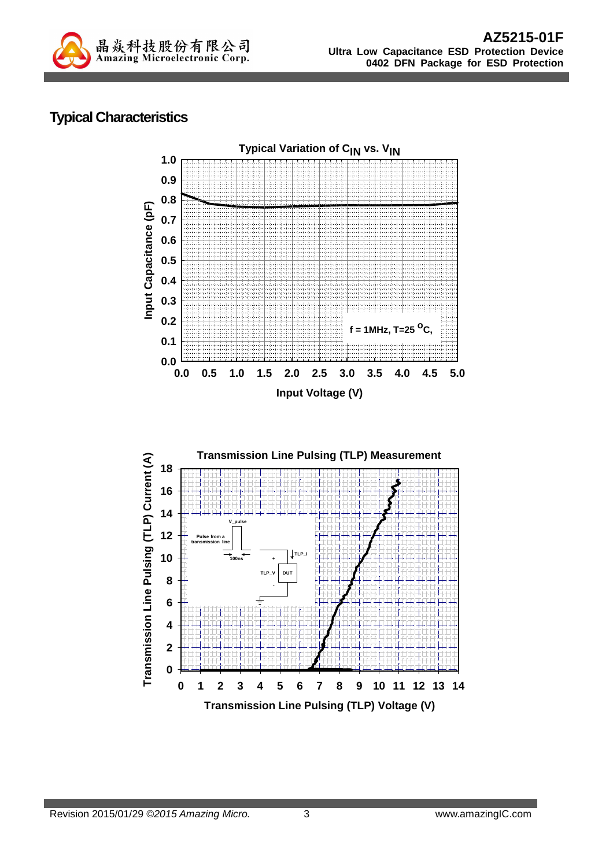

## **Typical Characteristics**

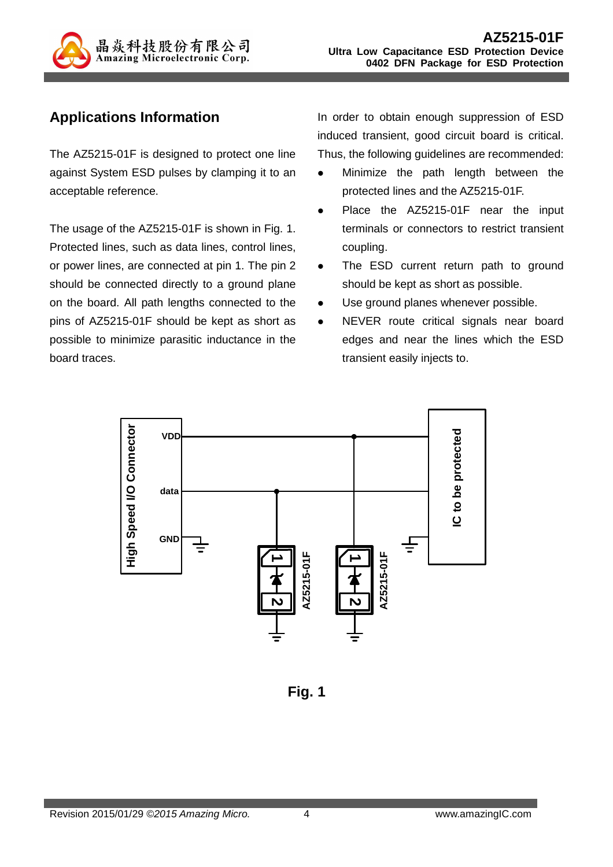

## **Applications Information**

The AZ5215-01F is designed to protect one line against System ESD pulses by clamping it to an acceptable reference.

The usage of the AZ5215-01F is shown in Fig. 1. Protected lines, such as data lines, control lines, or power lines, are connected at pin 1. The pin 2 should be connected directly to a ground plane on the board. All path lengths connected to the pins of AZ5215-01F should be kept as short as possible to minimize parasitic inductance in the board traces.

In order to obtain enough suppression of ESD induced transient, good circuit board is critical. Thus, the following guidelines are recommended:

- Minimize the path length between the protected lines and the AZ5215-01F.
- Place the AZ5215-01F near the input terminals or connectors to restrict transient coupling.
- The ESD current return path to ground should be kept as short as possible.
- Use ground planes whenever possible.
- NEVER route critical signals near board edges and near the lines which the ESD transient easily injects to.



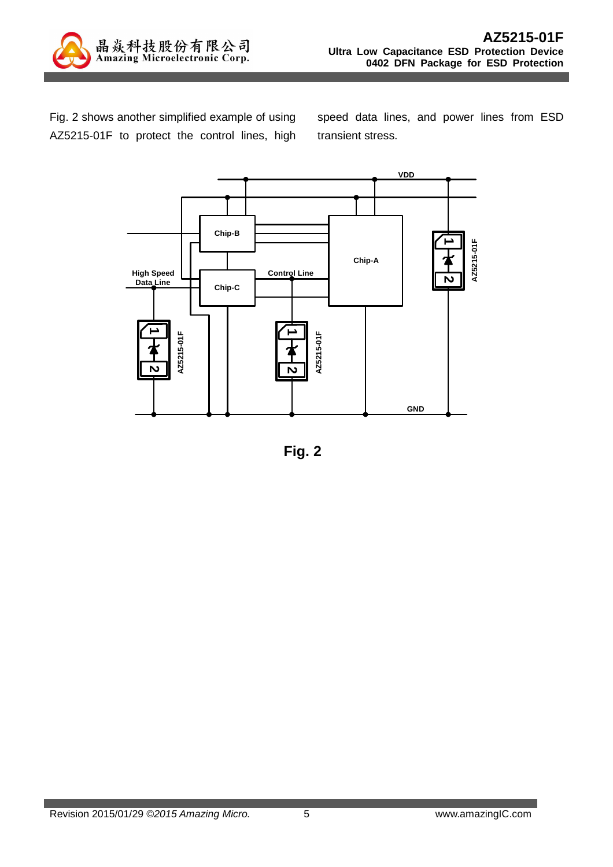

Fig. 2 shows another simplified example of using AZ5215-01F to protect the control lines, high speed data lines, and power lines from ESD transient stress.



**Fig. 2**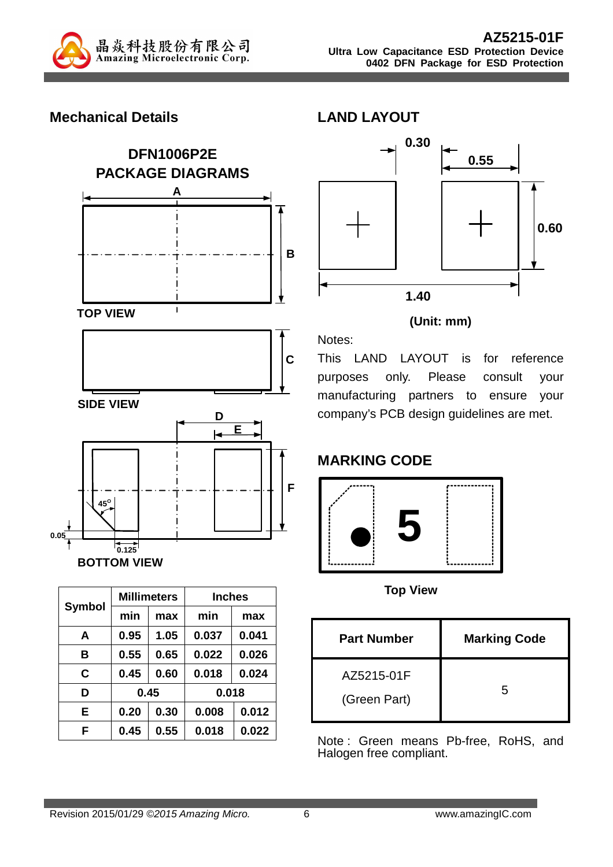

## **Mechanical Details**



| <b>Symbol</b> |      | <b>Millimeters</b> | <b>Inches</b> |       |  |
|---------------|------|--------------------|---------------|-------|--|
|               | min  | max                | min           | max   |  |
| A             | 0.95 | 1.05               | 0.037         | 0.041 |  |
| в             | 0.55 | 0.65               | 0.022         | 0.026 |  |
| C             | 0.45 | 0.60               | 0.018         | 0.024 |  |
| D             | 0.45 |                    | 0.018         |       |  |
| Е             | 0.20 | 0.30               | 0.008         | 0.012 |  |
| F             | 0.45 | 0.55               | 0.018         | 0.022 |  |



#### **(Unit: mm)**

This LAND LAYOUT is for reference purposes only. Please consult your manufacturing partners to ensure your company's PCB design guidelines are met.

# **MARKING CODE**

Notes:

**LAND LAYOUT** 



**Top View** 

| <b>Part Number</b>         | <b>Marking Code</b> |
|----------------------------|---------------------|
| AZ5215-01F<br>(Green Part) | 5                   |

Note : Green means Pb-free, RoHS, and Halogen free compliant.